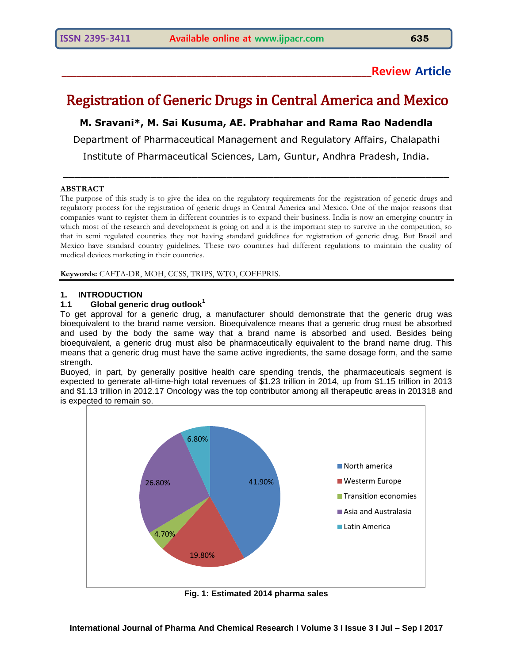# **\_\_\_\_\_\_\_\_\_\_\_\_\_\_\_\_\_\_\_\_\_\_\_\_\_\_\_\_\_\_\_\_\_\_\_\_\_\_\_\_\_\_\_\_\_\_\_\_\_\_\_\_\_\_\_\_\_\_\_\_\_\_Review Article**

# Registration of Generic Drugs in Central America and Mexico

**M. Sravani\*, M. Sai Kusuma, AE. Prabhahar and Rama Rao Nadendla**

Department of Pharmaceutical Management and Regulatory Affairs, Chalapathi

Institute of Pharmaceutical Sciences, Lam, Guntur, Andhra Pradesh, India.  $\_$  , and the set of the set of the set of the set of the set of the set of the set of the set of the set of the set of the set of the set of the set of the set of the set of the set of the set of the set of the set of th

#### **ABSTRACT**

The purpose of this study is to give the idea on the regulatory requirements for the registration of generic drugs and regulatory process for the registration of generic drugs in Central America and Mexico. One of the major reasons that companies want to register them in different countries is to expand their business. India is now an emerging country in which most of the research and development is going on and it is the important step to survive in the competition, so that in semi regulated countries they not having standard guidelines for registration of generic drug. But Brazil and Mexico have standard country guidelines. These two countries had different regulations to maintain the quality of medical devices marketing in their countries.

**Keywords:** CAFTA-DR, MOH, CCSS, TRIPS, WTO, COFEPRIS.

# **1. INTRODUCTION**

#### **1.1 Global generic drug outlook<sup>1</sup>**

To get approval for a generic drug, a manufacturer should demonstrate that the generic drug was bioequivalent to the brand name version. Bioequivalence means that a generic drug must be absorbed and used by the body the same way that a brand name is absorbed and used. Besides being bioequivalent, a generic drug must also be pharmaceutically equivalent to the brand name drug. This means that a generic drug must have the same active ingredients, the same dosage form, and the same strength.

Buoyed, in part, by generally positive health care spending trends, the pharmaceuticals segment is expected to generate all-time-high total revenues of \$1.23 trillion in 2014, up from \$1.15 trillion in 2013 and \$1.13 trillion in 2012.17 Oncology was the top contributor among all therapeutic areas in 201318 and is expected to remain so.



**Fig. 1: Estimated 2014 pharma sales**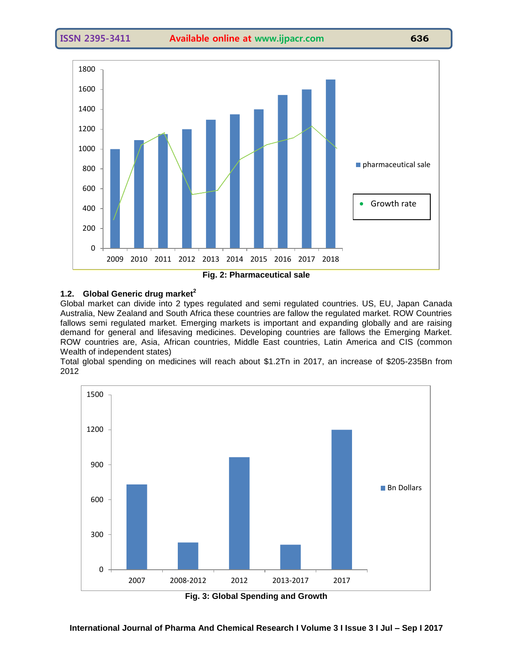

# **1.2. Global Generic drug market<sup>2</sup>**

Global market can divide into 2 types regulated and semi regulated countries. US, EU, Japan Canada Australia, New Zealand and South Africa these countries are fallow the regulated market. ROW Countries fallows semi regulated market. Emerging markets is important and expanding globally and are raising demand for general and lifesaving medicines. Developing countries are fallows the Emerging Market. ROW countries are, Asia, African countries, Middle East countries, Latin America and CIS (common Wealth of independent states)

Total global spending on medicines will reach about \$1.2Tn in 2017, an increase of \$205-235Bn from 2012



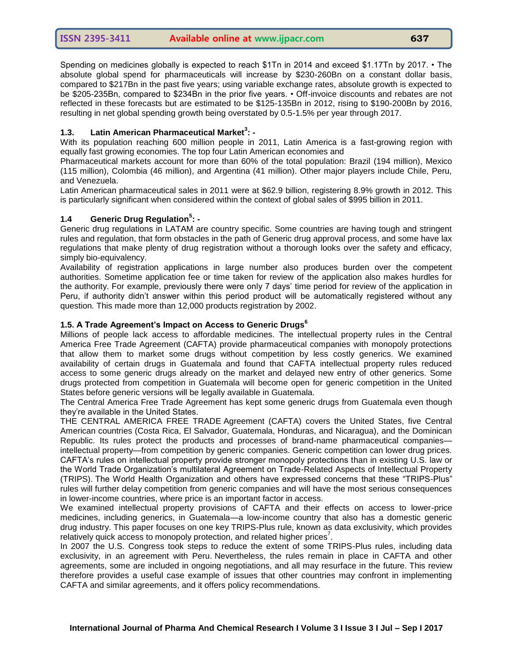Spending on medicines globally is expected to reach \$1Tn in 2014 and exceed \$1.17Tn by 2017. • The absolute global spend for pharmaceuticals will increase by \$230-260Bn on a constant dollar basis, compared to \$217Bn in the past five years; using variable exchange rates, absolute growth is expected to be \$205-235Bn, compared to \$234Bn in the prior five years. • Off-invoice discounts and rebates are not reflected in these forecasts but are estimated to be \$125-135Bn in 2012, rising to \$190-200Bn by 2016, resulting in net global spending growth being overstated by 0.5-1.5% per year through 2017.

# **1.3. Latin American Pharmaceutical Market<sup>3</sup> : -**

With its population reaching 600 million people in 2011, Latin America is a fast-growing region with equally fast growing economies. The top four Latin American economies and

Pharmaceutical markets account for more than 60% of the total population: Brazil (194 million), Mexico (115 million), Colombia (46 million), and Argentina (41 million). Other major players include Chile, Peru, and Venezuela.

Latin American pharmaceutical sales in 2011 were at \$62.9 billion, registering 8.9% growth in 2012. This is particularly significant when considered within the context of global sales of \$995 billion in 2011.

# **1.4 Generic Drug Regulation<sup>5</sup> : -**

Generic drug regulations in LATAM are country specific. Some countries are having tough and stringent rules and regulation, that form obstacles in the path of Generic drug approval process, and some have lax regulations that make plenty of drug registration without a thorough looks over the safety and efficacy, simply bio-equivalency.

Availability of registration applications in large number also produces burden over the competent authorities. Sometime application fee or time taken for review of the application also makes hurdles for the authority. For example, previously there were only 7 days' time period for review of the application in Peru, if authority didn't answer within this period product will be automatically registered without any question. This made more than 12,000 products registration by 2002.

#### **1.5. A Trade Agreement's Impact on Access to Generic Drugs<sup>6</sup>**

Millions of people lack access to affordable medicines. The intellectual property rules in the Central America Free Trade Agreement (CAFTA) provide pharmaceutical companies with monopoly protections that allow them to market some drugs without competition by less costly generics. We examined availability of certain drugs in Guatemala and found that CAFTA intellectual property rules reduced access to some generic drugs already on the market and delayed new entry of other generics. Some drugs protected from competition in Guatemala will become open for generic competition in the United States before generic versions will be legally available in Guatemala.

The Central America Free Trade Agreement has kept some generic drugs from Guatemala even though they're available in the United States.

THE CENTRAL AMERICA FREE TRADE Agreement (CAFTA) covers the United States, five Central American countries (Costa Rica, El Salvador, Guatemala, Honduras, and Nicaragua), and the Dominican Republic. Its rules protect the products and processes of brand-name pharmaceutical companies intellectual property—from competition by generic companies. Generic competition can lower drug prices.

CAFTA's rules on intellectual property provide stronger monopoly protections than in existing U.S. law or the World Trade Organization's multilateral Agreement on Trade-Related Aspects of Intellectual Property (TRIPS). The World Health Organization and others have expressed concerns that these "TRIPS-Plus" rules will further delay competition from generic companies and will have the most serious consequences in lower-income countries, where price is an important factor in access.

We examined intellectual property provisions of CAFTA and their effects on access to lower-price medicines, including generics, in Guatemala—a low-income country that also has a domestic generic drug industry. This paper focuses on one key TRIPS-Plus rule, known as data exclusivity, which provides relatively quick access to monopoly protection, and related higher prices<sup>7</sup>.

In 2007 the U.S. Congress took steps to reduce the extent of some TRIPS-Plus rules, including data exclusivity, in an agreement with Peru. Nevertheless, the rules remain in place in CAFTA and other agreements, some are included in ongoing negotiations, and all may resurface in the future. This review therefore provides a useful case example of issues that other countries may confront in implementing CAFTA and similar agreements, and it offers policy recommendations.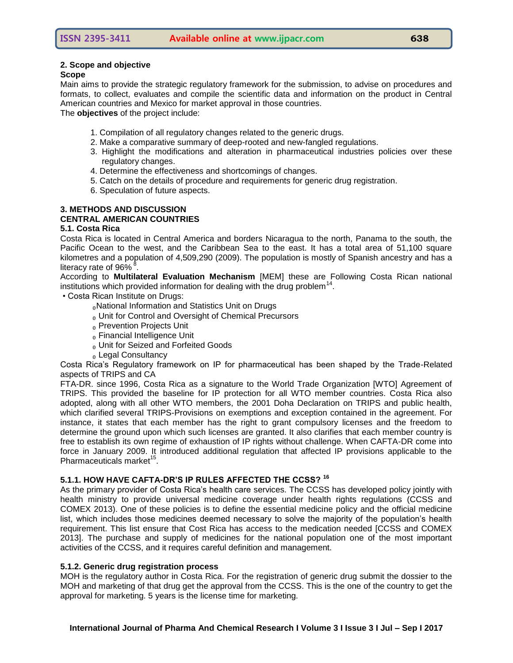#### **2. Scope and objective**

#### **Scope**

Main aims to provide the strategic regulatory framework for the submission, to advise on procedures and formats, to collect, evaluates and compile the scientific data and information on the product in Central American countries and Mexico for market approval in those countries.

The **objectives** of the project include:

- 1. Compilation of all regulatory changes related to the generic drugs.
- 2. Make a comparative summary of deep-rooted and new-fangled regulations.
- 3. Highlight the modifications and alteration in pharmaceutical industries policies over these regulatory changes.
- 4. Determine the effectiveness and shortcomings of changes.
- 5. Catch on the details of procedure and requirements for generic drug registration.
- 6. Speculation of future aspects.

# **3. METHODS AND DISCUSSION**

#### **CENTRAL AMERICAN COUNTRIES**

#### **5.1. Costa Rica**

Costa Rica is located in Central America and borders Nicaragua to the north, Panama to the south, the Pacific Ocean to the west, and the Caribbean Sea to the east. It has a total area of 51,100 square kilometres and a population of 4,509,290 (2009). The population is mostly of Spanish ancestry and has a literacy rate of 96% $^8$ .

According to **Multilateral Evaluation Mechanism** [MEM] these are Following Costa Rican national institutions which provided information for dealing with the drug problem<sup>14</sup>.

• Costa Rican Institute on Drugs:

₀National Information and Statistics Unit on Drugs

- <sub>0</sub> Unit for Control and Oversight of Chemical Precursors
- ₀ Prevention Projects Unit
- ₀ Financial Intelligence Unit
- ₀ Unit for Seized and Forfeited Goods
- ₀ Legal Consultancy

Costa Rica's Regulatory framework on IP for pharmaceutical has been shaped by the Trade-Related aspects of TRIPS and CA

FTA-DR. since 1996, Costa Rica as a signature to the World Trade Organization [WTO] Agreement of TRIPS. This provided the baseline for IP protection for all WTO member countries. Costa Rica also adopted, along with all other WTO members, the 2001 Doha Declaration on TRIPS and public health, which clarified several TRIPS-Provisions on exemptions and exception contained in the agreement. For instance, it states that each member has the right to grant compulsory licenses and the freedom to determine the ground upon which such licenses are granted. It also clarifies that each member country is free to establish its own regime of exhaustion of IP rights without challenge. When CAFTA-DR come into force in January 2009. It introduced additional regulation that affected IP provisions applicable to the Pharmaceuticals market<sup>15</sup>.

#### **5.1.1. HOW HAVE CAFTA-DR'S IP RULES AFFECTED THE CCSS? <sup>16</sup>**

As the primary provider of Costa Rica's health care services. The CCSS has developed policy jointly with health ministry to provide universal medicine coverage under health rights regulations (CCSS and COMEX 2013). One of these policies is to define the essential medicine policy and the official medicine list, which includes those medicines deemed necessary to solve the majority of the population's health requirement. This list ensure that Cost Rica has access to the medication needed [CCSS and COMEX 2013]. The purchase and supply of medicines for the national population one of the most important activities of the CCSS, and it requires careful definition and management.

#### **5.1.2. Generic drug registration process**

MOH is the regulatory author in Costa Rica. For the registration of generic drug submit the dossier to the MOH and marketing of that drug get the approval from the CCSS. This is the one of the country to get the approval for marketing. 5 years is the license time for marketing.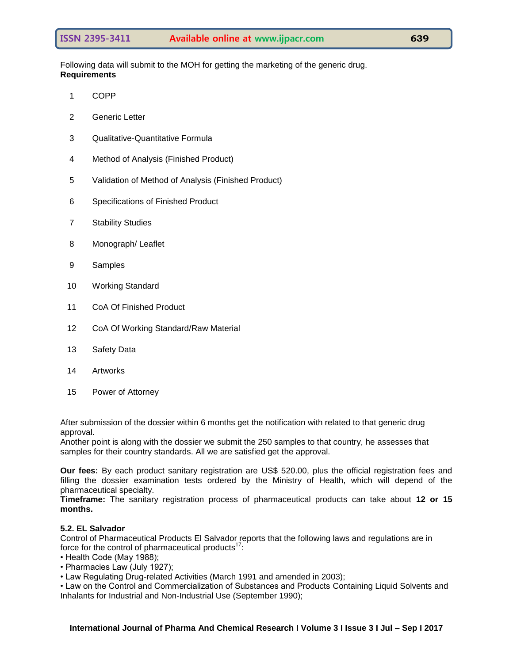Following data will submit to the MOH for getting the marketing of the generic drug. **Requirements**

- 1 COPP
- 2 Generic Letter
- 3 Qualitative-Quantitative Formula
- 4 Method of Analysis (Finished Product)
- 5 Validation of Method of Analysis (Finished Product)
- 6 Specifications of Finished Product
- 7 Stability Studies
- 8 Monograph/ Leaflet
- 9 Samples
- 10 Working Standard
- 11 CoA Of Finished Product
- 12 CoA Of Working Standard/Raw Material
- 13 Safety Data
- 14 Artworks
- 15 Power of Attorney

After submission of the dossier within 6 months get the notification with related to that generic drug approval.

Another point is along with the dossier we submit the 250 samples to that country, he assesses that samples for their country standards. All we are satisfied get the approval.

**Our fees:** By each product sanitary registration are US\$ 520.00, plus the official registration fees and filling the dossier examination tests ordered by the Ministry of Health, which will depend of the pharmaceutical specialty.

**Timeframe:** The sanitary registration process of pharmaceutical products can take about **12 or 15 months.**

#### **5.2. EL Salvador**

Control of Pharmaceutical Products El Salvador reports that the following laws and regulations are in force for the control of pharmaceutical products $17$ :

- Health Code (May 1988);
- Pharmacies Law (July 1927);
- Law Regulating Drug-related Activities (March 1991 and amended in 2003);

• Law on the Control and Commercialization of Substances and Products Containing Liquid Solvents and Inhalants for Industrial and Non-Industrial Use (September 1990);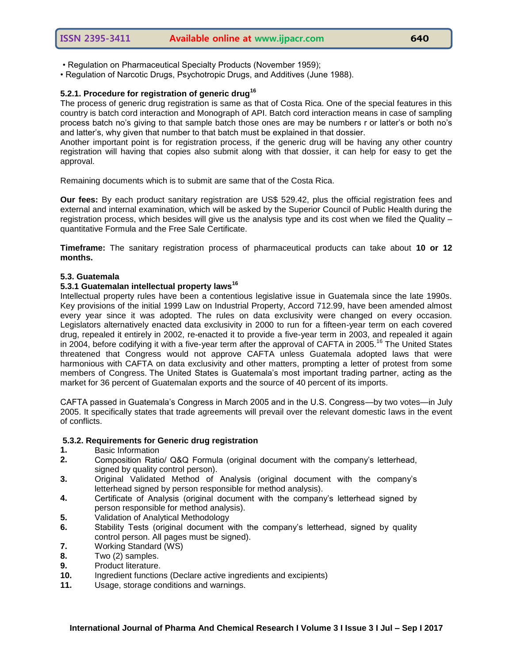- Regulation on Pharmaceutical Specialty Products (November 1959);
- Regulation of Narcotic Drugs, Psychotropic Drugs, and Additives (June 1988).

# **5.2.1. Procedure for registration of generic drug<sup>16</sup>**

The process of generic drug registration is same as that of Costa Rica. One of the special features in this country is batch cord interaction and Monograph of API. Batch cord interaction means in case of sampling process batch no's giving to that sample batch those ones are may be numbers r or latter's or both no's and latter's, why given that number to that batch must be explained in that dossier.

Another important point is for registration process, if the generic drug will be having any other country registration will having that copies also submit along with that dossier, it can help for easy to get the approval.

Remaining documents which is to submit are same that of the Costa Rica.

**Our fees:** By each product sanitary registration are US\$ 529.42, plus the official registration fees and external and internal examination, which will be asked by the Superior Council of Public Health during the registration process, which besides will give us the analysis type and its cost when we filed the Quality – quantitative Formula and the Free Sale Certificate.

**Timeframe:** The sanitary registration process of pharmaceutical products can take about **10 or 12 months.**

#### **5.3. Guatemala**

# **5.3.1 Guatemalan intellectual property laws<sup>16</sup>**

Intellectual property rules have been a contentious legislative issue in Guatemala since the late 1990s. Key provisions of the initial 1999 Law on Industrial Property, Accord 712.99, have been amended almost every year since it was adopted. The rules on data exclusivity were changed on every occasion. Legislators alternatively enacted data exclusivity in 2000 to run for a fifteen-year term on each covered drug, repealed it entirely in 2002, re-enacted it to provide a five-year term in 2003, and repealed it again in 2004, before codifying it with a five-year term after the approval of CAFTA in 2005.<sup>[16](http://content.healthaffairs.org/content/28/5/w957.full#ref-16)</sup> The United States threatened that Congress would not approve CAFTA unless Guatemala adopted laws that were harmonious with CAFTA on data exclusivity and other matters, prompting a letter of protest from some members of Congress. The United States is Guatemala's most important trading partner, acting as the market for 36 percent of Guatemalan exports and the source of 40 percent of its imports.

CAFTA passed in Guatemala's Congress in March 2005 and in the U.S. Congress—by two votes—in July 2005. It specifically states that trade agreements will prevail over the relevant domestic laws in the event of conflicts.

#### **5.3.2. Requirements for Generic drug registration**

- **1.** Basic Information
- **2.** Composition Ratio/ Q&Q Formula (original document with the company's letterhead, signed by quality control person).
- **3.** Original Validated Method of Analysis (original document with the company's letterhead signed by person responsible for method analysis).
- **4.** Certificate of Analysis (original document with the company's letterhead signed by person responsible for method analysis).
- **5.** Validation of Analytical Methodology
- **6.** Stability Tests (original document with the company's letterhead, signed by quality control person. All pages must be signed).
- **7.** Working Standard (WS)
- **8.** Two (2) samples.
- **9.** Product literature.
- **10.** Ingredient functions (Declare active ingredients and excipients)
- **11.** Usage, storage conditions and warnings.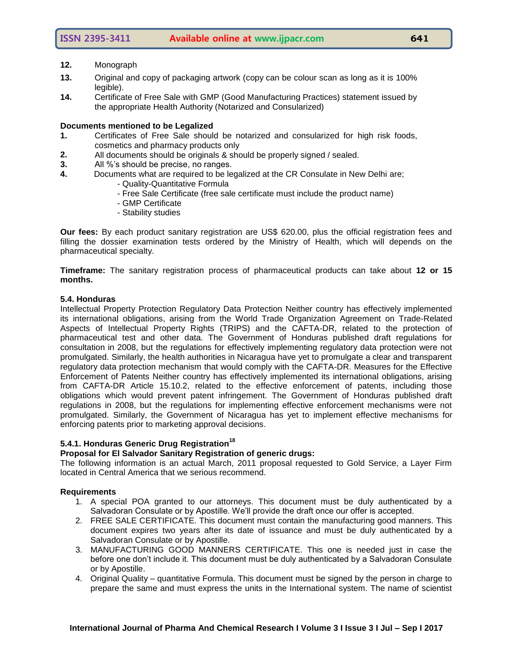#### **12.** Monograph

- **13.** Original and copy of packaging artwork (copy can be colour scan as long as it is 100% legible).
- **14.** Certificate of Free Sale with GMP (Good Manufacturing Practices) statement issued by the appropriate Health Authority (Notarized and Consularized)

#### **Documents mentioned to be Legalized**

- **1.** Certificates of Free Sale should be notarized and consularized for high risk foods, cosmetics and pharmacy products only
- **2.** All documents should be originals & should be properly signed / sealed.
- **3.** All %'s should be precise, no ranges.
- **4.** Documents what are required to be legalized at the CR Consulate in New Delhi are;
	- Quality-Quantitative Formula
	- Free Sale Certificate (free sale certificate must include the product name)
	- GMP Certificate
	- Stability studies

**Our fees:** By each product sanitary registration are US\$ 620.00, plus the official registration fees and filling the dossier examination tests ordered by the Ministry of Health, which will depends on the pharmaceutical specialty.

**Timeframe:** The sanitary registration process of pharmaceutical products can take about **12 or 15 months.**

#### **5.4. Honduras**

Intellectual Property Protection Regulatory Data Protection Neither country has effectively implemented its international obligations, arising from the World Trade Organization Agreement on Trade-Related Aspects of Intellectual Property Rights (TRIPS) and the CAFTA-DR, related to the protection of pharmaceutical test and other data. The Government of Honduras published draft regulations for consultation in 2008, but the regulations for effectively implementing regulatory data protection were not promulgated. Similarly, the health authorities in Nicaragua have yet to promulgate a clear and transparent regulatory data protection mechanism that would comply with the CAFTA-DR. Measures for the Effective Enforcement of Patents Neither country has effectively implemented its international obligations, arising from CAFTA-DR Article 15.10.2, related to the effective enforcement of patents, including those obligations which would prevent patent infringement. The Government of Honduras published draft regulations in 2008, but the regulations for implementing effective enforcement mechanisms were not promulgated. Similarly, the Government of Nicaragua has yet to implement effective mechanisms for enforcing patents prior to marketing approval decisions.

# **5.4.1. Honduras Generic Drug Registration<sup>18</sup>**

#### **Proposal for El Salvador Sanitary Registration of generic drugs:**

The following information is an actual March, 2011 proposal requested to Gold Service, a Layer Firm located in Central America that we serious recommend.

#### **Requirements**

- 1. A special POA granted to our attorneys. This document must be duly authenticated by a Salvadoran Consulate or by Apostille. We'll provide the draft once our offer is accepted.
- 2. FREE SALE CERTIFICATE. This document must contain the manufacturing good manners. This document expires two years after its date of issuance and must be duly authenticated by a Salvadoran Consulate or by Apostille.
- 3. MANUFACTURING GOOD MANNERS CERTIFICATE. This one is needed just in case the before one don't include it. This document must be duly authenticated by a Salvadoran Consulate or by Apostille.
- 4. Original Quality quantitative Formula. This document must be signed by the person in charge to prepare the same and must express the units in the International system. The name of scientist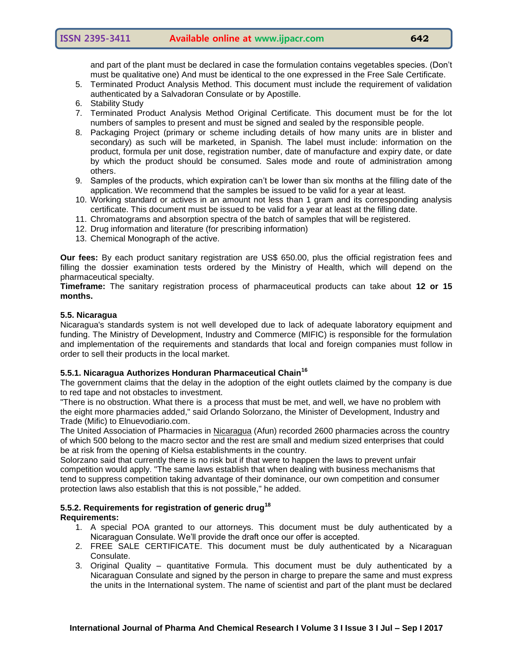and part of the plant must be declared in case the formulation contains vegetables species. (Don't must be qualitative one) And must be identical to the one expressed in the Free Sale Certificate.

- 5. Terminated Product Analysis Method. This document must include the requirement of validation authenticated by a Salvadoran Consulate or by Apostille.
- 6. Stability Study
- 7. Terminated Product Analysis Method Original Certificate. This document must be for the lot numbers of samples to present and must be signed and sealed by the responsible people.
- 8. Packaging Project (primary or scheme including details of how many units are in blister and secondary) as such will be marketed, in Spanish. The label must include: information on the product, formula per unit dose, registration number, date of manufacture and expiry date, or date by which the product should be consumed. Sales mode and route of administration among others.
- 9. Samples of the products, which expiration can't be lower than six months at the filling date of the application. We recommend that the samples be issued to be valid for a year at least.
- 10. Working standard or actives in an amount not less than 1 gram and its corresponding analysis certificate. This document must be issued to be valid for a year at least at the filling date.
- 11. Chromatograms and absorption spectra of the batch of samples that will be registered.
- 12. Drug information and literature (for prescribing information)
- 13. Chemical Monograph of the active.

**Our fees:** By each product sanitary registration are US\$ 650.00, plus the official registration fees and filling the dossier examination tests ordered by the Ministry of Health, which will depend on the pharmaceutical specialty.

**Timeframe:** The sanitary registration process of pharmaceutical products can take about **12 or 15 months.**

#### **5.5. Nicaragua**

Nicaragua's standards system is not well developed due to lack of adequate laboratory equipment and funding. The Ministry of Development, Industry and Commerce (MIFIC) is responsible for the formulation and implementation of the requirements and standards that local and foreign companies must follow in order to sell their products in the local market.

# **5.5.1. Nicaragua Authorizes Honduran Pharmaceutical Chain<sup>16</sup>**

The government claims that the delay in the adoption of the eight outlets claimed by the company is due to red tape and not obstacles to investment.

"There is no obstruction. What there is a process that must be met, and well, we have no problem with the eight more pharmacies added," said Orlando Solorzano, the Minister of Development, Industry and Trade (Mific) to Elnuevodiario.com.

The United Association of Pharmacies in [Nicaragua](http://en.centralamericadata.com/en/search?q1=content_en_le:%22Nicaragua%22&q2=mattersInCountry_es_le:%22Nicaragua%22) (Afun) recorded 2600 pharmacies across the country of which 500 belong to the macro sector and the rest are small and medium sized enterprises that could be at risk from the opening of Kielsa establishments in the country.

Solorzano said that currently there is no risk but if that were to happen the laws to prevent unfair competition would apply. "The same laws establish that when dealing with business mechanisms that tend to suppress competition taking advantage of their dominance, our own competition and consumer protection laws also establish that this is not possible," he added.

#### **5.5.2. Requirements for registration of generic drug<sup>18</sup> Requirements:**

- 1. A special POA granted to our attorneys. This document must be duly authenticated by a Nicaraguan Consulate. We'll provide the draft once our offer is accepted.
- 2. FREE SALE CERTIFICATE. This document must be duly authenticated by a Nicaraguan Consulate.
- 3. Original Quality quantitative Formula. This document must be duly authenticated by a Nicaraguan Consulate and signed by the person in charge to prepare the same and must express the units in the International system. The name of scientist and part of the plant must be declared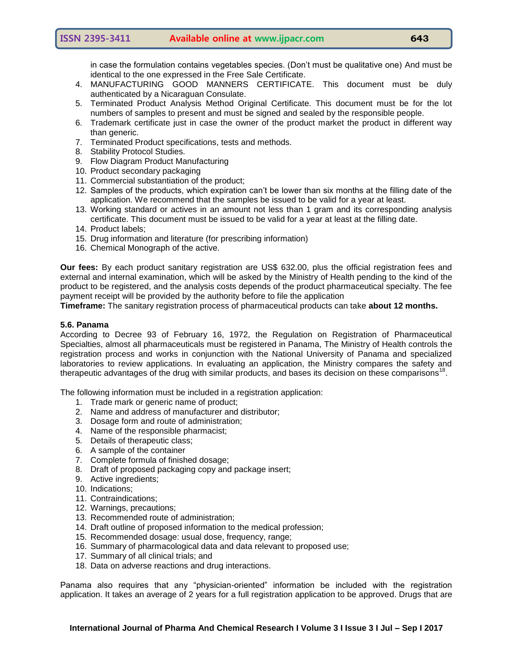in case the formulation contains vegetables species. (Don't must be qualitative one) And must be identical to the one expressed in the Free Sale Certificate.

- 4. MANUFACTURING GOOD MANNERS CERTIFICATE. This document must be duly authenticated by a Nicaraguan Consulate.
- 5. Terminated Product Analysis Method Original Certificate. This document must be for the lot numbers of samples to present and must be signed and sealed by the responsible people.
- 6. Trademark certificate just in case the owner of the product market the product in different way than generic.
- 7. Terminated Product specifications, tests and methods.
- 8. Stability Protocol Studies.
- 9. Flow Diagram Product Manufacturing
- 10. Product secondary packaging
- 11. Commercial substantiation of the product;
- 12. Samples of the products, which expiration can't be lower than six months at the filling date of the application. We recommend that the samples be issued to be valid for a year at least.
- 13. Working standard or actives in an amount not less than 1 gram and its corresponding analysis certificate. This document must be issued to be valid for a year at least at the filling date.
- 14. Product labels;
- 15. Drug information and literature (for prescribing information)
- 16. Chemical Monograph of the active.

**Our fees:** By each product sanitary registration are US\$ 632.00, plus the official registration fees and external and internal examination, which will be asked by the Ministry of Health pending to the kind of the product to be registered, and the analysis costs depends of the product pharmaceutical specialty. The fee payment receipt will be provided by the authority before to file the application

**Timeframe:** The sanitary registration process of pharmaceutical products can take **about 12 months.**

#### **5.6. Panama**

According to Decree 93 of February 16, 1972, the Regulation on Registration of Pharmaceutical Specialties, almost all pharmaceuticals must be registered in Panama, The Ministry of Health controls the registration process and works in conjunction with the National University of Panama and specialized laboratories to review applications. In evaluating an application, the Ministry compares the safety and therapeutic advantages of the drug with similar products, and bases its decision on these comparisons<sup>18</sup>.

The following information must be included in a registration application:

- 1. Trade mark or generic name of product;
- 2. Name and address of manufacturer and distributor;
- 3. Dosage form and route of administration;
- 4. Name of the responsible pharmacist;
- 5. Details of therapeutic class;
- 6. A sample of the container
- 7. Complete formula of finished dosage;
- 8. Draft of proposed packaging copy and package insert;
- 9. Active ingredients;
- 10. Indications;
- 11. Contraindications;
- 12. Warnings, precautions;
- 13. Recommended route of administration;
- 14. Draft outline of proposed information to the medical profession;
- 15. Recommended dosage: usual dose, frequency, range;
- 16. Summary of pharmacological data and data relevant to proposed use;
- 17. Summary of all clinical trials; and
- 18. Data on adverse reactions and drug interactions.

Panama also requires that any "physician-oriented" information be included with the registration application. It takes an average of 2 years for a full registration application to be approved. Drugs that are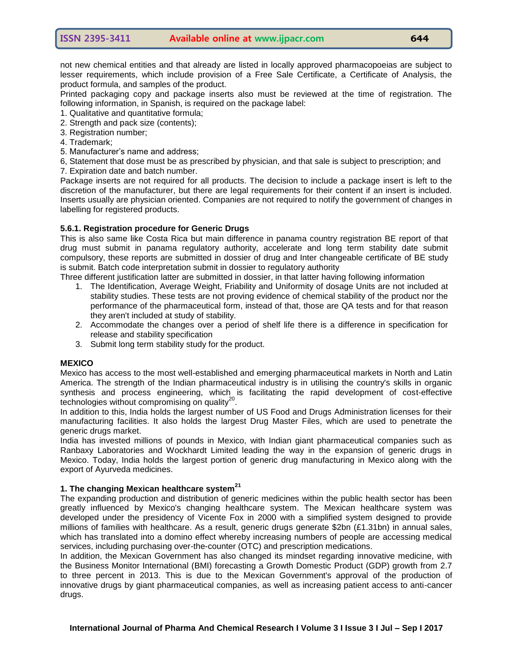not new chemical entities and that already are listed in locally approved pharmacopoeias are subject to lesser requirements, which include provision of a Free Sale Certificate, a Certificate of Analysis, the product formula, and samples of the product.

Printed packaging copy and package inserts also must be reviewed at the time of registration. The following information, in Spanish, is required on the package label:

- 1. Qualitative and quantitative formula;
- 2. Strength and pack size (contents);
- 3. Registration number;
- 4. Trademark;
- 5. Manufacturer's name and address;

6, Statement that dose must be as prescribed by physician, and that sale is subject to prescription; and

7. Expiration date and batch number.

Package inserts are not required for all products. The decision to include a package insert is left to the discretion of the manufacturer, but there are legal requirements for their content if an insert is included. Inserts usually are physician oriented. Companies are not required to notify the government of changes in labelling for registered products.

# **5.6.1. Registration procedure for Generic Drugs**

This is also same like Costa Rica but main difference in panama country registration BE report of that drug must submit in panama regulatory authority, accelerate and long term stability date submit compulsory, these reports are submitted in dossier of drug and Inter changeable certificate of BE study is submit. Batch code interpretation submit in dossier to regulatory authority

Three different justification latter are submitted in dossier, in that latter having following information

- 1. The Identification, Average Weight, Friability and Uniformity of dosage Units are not included at stability studies. These tests are not proving evidence of chemical stability of the product nor the performance of the pharmaceutical form, instead of that, those are QA tests and for that reason they aren't included at study of stability.
- 2. Accommodate the changes over a period of shelf life there is a difference in specification for release and stability specification
- 3. Submit long term stability study for the product.

#### **MEXICO**

Mexico has access to the most well-established and emerging pharmaceutical markets in North and Latin America. The strength of the Indian pharmaceutical industry is in utilising the country's skills in organic synthesis and process engineering, which is facilitating the rapid development of cost-effective  $t$ echnologies without compromising on quality $^{20}$ .

In addition to this, India holds the largest number of US Food and Drugs Administration licenses for their manufacturing facilities. It also holds the largest Drug Master Files, which are used to penetrate the generic drugs market.

India has invested millions of pounds in Mexico, with Indian giant pharmaceutical companies such as Ranbaxy Laboratories and Wockhardt Limited leading the way in the expansion of generic drugs in Mexico. Today, India holds the largest portion of generic drug manufacturing in Mexico along with the export of Ayurveda medicines.

# **1. The changing Mexican healthcare system<sup>21</sup>**

The expanding production and distribution of generic medicines within the public health sector has been greatly influenced by Mexico's changing healthcare system. The Mexican healthcare system was developed under the presidency of Vicente Fox in 2000 with a simplified system designed to provide millions of families with healthcare. As a result, generic drugs generate \$2bn (£1.31bn) in annual sales, which has translated into a domino effect whereby increasing numbers of people are accessing medical services, including purchasing over-the-counter (OTC) and prescription medications.

In addition, the Mexican Government has also changed its mindset regarding innovative medicine, with the Business Monitor International (BMI) forecasting a Growth Domestic Product (GDP) growth from 2.7 to three percent in 2013. This is due to the Mexican Government's approval of the production of innovative drugs by giant pharmaceutical companies, as well as increasing patient access to anti-cancer drugs.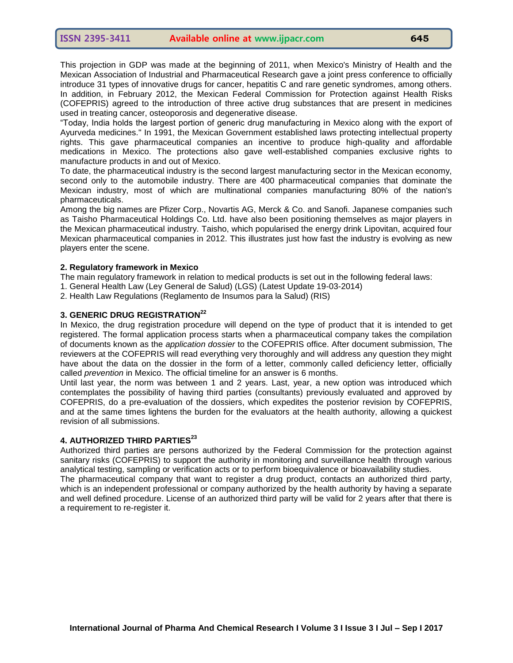This projection in GDP was made at the beginning of 2011, when Mexico's Ministry of Health and the Mexican Association of Industrial and Pharmaceutical Research gave a joint press conference to officially introduce 31 types of innovative drugs for cancer, hepatitis C and rare genetic syndromes, among others. In addition, in February 2012, the Mexican Federal Commission for Protection against Health Risks (COFEPRIS) agreed to the introduction of three active drug substances that are present in medicines used in treating cancer, osteoporosis and degenerative disease.

―Today, India holds the largest portion of generic drug manufacturing in Mexico along with the export of Ayurveda medicines." In 1991, the Mexican Government established laws protecting intellectual property rights. This gave pharmaceutical companies an incentive to produce high-quality and affordable medications in Mexico. The protections also gave well-established companies exclusive rights to manufacture products in and out of Mexico.

To date, the pharmaceutical industry is the second largest manufacturing sector in the Mexican economy, second only to the automobile industry. There are 400 pharmaceutical companies that dominate the Mexican industry, most of which are multinational companies manufacturing 80% of the nation's pharmaceuticals.

Among the big names are Pfizer Corp., Novartis AG, Merck & Co. and Sanofi. Japanese companies such as Taisho Pharmaceutical Holdings Co. Ltd. have also been positioning themselves as major players in the Mexican pharmaceutical industry. Taisho, which popularised the energy drink Lipovitan, acquired four Mexican pharmaceutical companies in 2012. This illustrates just how fast the industry is evolving as new players enter the scene.

#### **2. Regulatory framework in Mexico**

The main regulatory framework in relation to medical products is set out in the following federal laws:

1. General Health Law (Ley General de Salud) (LGS) (Latest Update 19-03-2014)

2. Health Law Regulations (Reglamento de Insumos para la Salud) (RIS)

# **3. GENERIC DRUG REGISTRATION<sup>22</sup>**

In Mexico, the drug registration procedure will depend on the type of product that it is intended to get registered. The formal application process starts when a pharmaceutical company takes the compilation of documents known as the *application dossier* to the COFEPRIS office. After document submission, The reviewers at the COFEPRIS will read everything very thoroughly and will address any question they might have about the data on the dossier in the form of a letter, commonly called deficiency letter, officially called *prevention* in Mexico. The official timeline for an answer is 6 months.

Until last year, the norm was between 1 and 2 years. Last, year, a new option was introduced which contemplates the possibility of having third parties (consultants) previously evaluated and approved by COFEPRIS, do a pre-evaluation of the dossiers, which expedites the posterior revision by COFEPRIS, and at the same times lightens the burden for the evaluators at the health authority, allowing a quickest revision of all submissions.

# **4. AUTHORIZED THIRD PARTIES<sup>23</sup>**

Authorized third parties are persons authorized by the Federal Commission for the protection against sanitary risks (COFEPRIS) to support the authority in monitoring and surveillance health through various analytical testing, sampling or verification acts or to perform bioequivalence or bioavailability studies.

The pharmaceutical company that want to register a drug product, contacts an authorized third party, which is an independent professional or company authorized by the health authority by having a separate and well defined procedure. License of an authorized third party will be valid for 2 years after that there is a requirement to re-register it.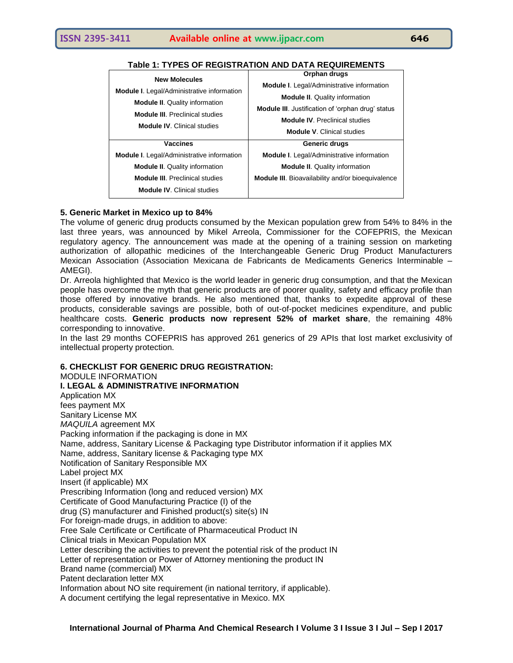| <b>New Molecules</b><br><b>Module I.</b> Legal/Administrative information<br><b>Module II.</b> Quality information<br><b>Module III.</b> Preclinical studies | Orphan drugs                                                                                                                                           |
|--------------------------------------------------------------------------------------------------------------------------------------------------------------|--------------------------------------------------------------------------------------------------------------------------------------------------------|
|                                                                                                                                                              | <b>Module I.</b> Legal/Administrative information<br><b>Module II.</b> Quality information<br><b>Module III.</b> Justification of 'orphan drug' status |
| <b>Module IV.</b> Clinical studies<br><b>Vaccines</b>                                                                                                        | <b>Module IV.</b> Preclinical studies<br><b>Module V. Clinical studies</b><br>Generic drugs                                                            |
| <b>Module I.</b> Legal/Administrative information<br><b>Module II.</b> Quality information                                                                   | <b>Module I.</b> Legal/Administrative information<br><b>Module II.</b> Quality information                                                             |
| <b>Module III.</b> Preclinical studies<br><b>Module IV. Clinical studies</b>                                                                                 | <b>Module III.</b> Bioavailability and/or bioequivalence                                                                                               |

# **Table 1: TYPES OF REGISTRATION AND DATA REQUIREMENTS**

# **5. [Generic Market in Mexico up to](http://latampharmara.com/2014/03/05/generic-market-in-mexico-up-to-84/) 84%**

The volume of generic drug products consumed by the Mexican population grew from 54% to 84% in the last three years, was announced by Mikel Arreola, Commissioner for the COFEPRIS, the Mexican regulatory agency. The announcement was made at the opening of a training session on marketing authorization of allopathic medicines of the Interchangeable Generic Drug Product Manufacturers Mexican Association (Association Mexicana de Fabricants de Medicaments Generics Interminable – AMEGI).

Dr. Arreola highlighted that Mexico is the world leader in generic drug consumption, and that the Mexican people has overcome the myth that generic products are of poorer quality, safety and efficacy profile than those offered by innovative brands. He also mentioned that, thanks to expedite approval of these products, considerable savings are possible, both of out-of-pocket medicines expenditure, and public healthcare costs. **Generic products now represent 52% of market share**, the remaining 48% corresponding to innovative.

In the last 29 months COFEPRIS has approved 261 generics of 29 APIs that lost market exclusivity of intellectual property protection.

#### **6. CHECKLIST FOR GENERIC DRUG REGISTRATION:**

MODULE INFORMATION **I. LEGAL & ADMINISTRATIVE INFORMATION** Application MX fees payment MX Sanitary License MX *MAQUILA* agreement MX Packing information if the packaging is done in MX Name, address, Sanitary License & Packaging type Distributor information if it applies MX Name, address, Sanitary license & Packaging type MX Notification of Sanitary Responsible MX Label project MX Insert (if applicable) MX Prescribing Information (long and reduced version) MX Certificate of Good Manufacturing Practice (I) of the drug (S) manufacturer and Finished product(s) site(s) IN For foreign-made drugs, in addition to above: Free Sale Certificate or Certificate of Pharmaceutical Product IN Clinical trials in Mexican Population MX Letter describing the activities to prevent the potential risk of the product IN Letter of representation or Power of Attorney mentioning the product IN Brand name (commercial) MX Patent declaration letter MX Information about NO site requirement (in national territory, if applicable). A document certifying the legal representative in Mexico. MX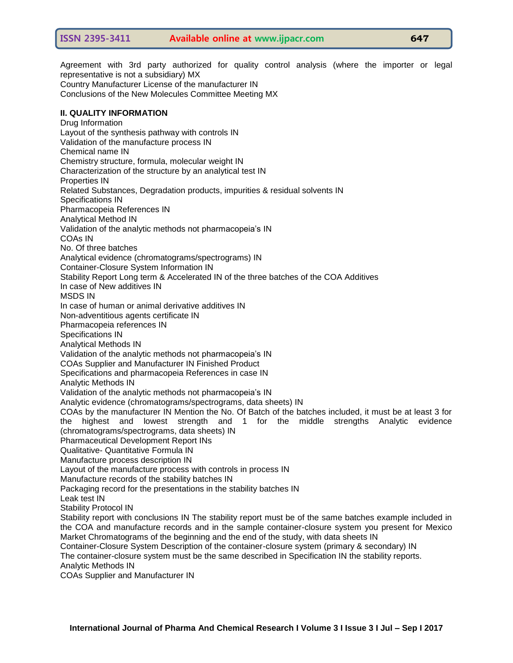Agreement with 3rd party authorized for quality control analysis (where the importer or legal representative is not a subsidiary) MX Country Manufacturer License of the manufacturer IN Conclusions of the New Molecules Committee Meeting MX **II. QUALITY INFORMATION** Drug Information Layout of the synthesis pathway with controls IN Validation of the manufacture process IN Chemical name IN Chemistry structure, formula, molecular weight IN Characterization of the structure by an analytical test IN Properties IN Related Substances, Degradation products, impurities & residual solvents IN Specifications IN Pharmacopeia References IN Analytical Method IN Validation of the analytic methods not pharmacopeia's IN COAs IN No. Of three batches Analytical evidence (chromatograms/spectrograms) IN Container-Closure System Information IN Stability Report Long term & Accelerated IN of the three batches of the COA Additives In case of New additives IN MSDS IN In case of human or animal derivative additives IN Non-adventitious agents certificate IN Pharmacopeia references IN Specifications IN Analytical Methods IN Validation of the analytic methods not pharmacopeia's IN COAs Supplier and Manufacturer IN Finished Product Specifications and pharmacopeia References in case IN Analytic Methods IN Validation of the analytic methods not pharmacopeia's IN

Analytic evidence (chromatograms/spectrograms, data sheets) IN

COAs by the manufacturer IN Mention the No. Of Batch of the batches included, it must be at least 3 for the highest and lowest strength and 1 for the middle strengths Analytic evidence (chromatograms/spectrograms, data sheets) IN

Pharmaceutical Development Report INs

Qualitative- Quantitative Formula IN

Manufacture process description IN

Layout of the manufacture process with controls in process IN

Manufacture records of the stability batches IN

Packaging record for the presentations in the stability batches IN

Leak test IN

Stability Protocol IN

Stability report with conclusions IN The stability report must be of the same batches example included in the COA and manufacture records and in the sample container-closure system you present for Mexico Market Chromatograms of the beginning and the end of the study, with data sheets IN

Container-Closure System Description of the container-closure system (primary & secondary) IN

The container-closure system must be the same described in Specification IN the stability reports.

Analytic Methods IN

COAs Supplier and Manufacturer IN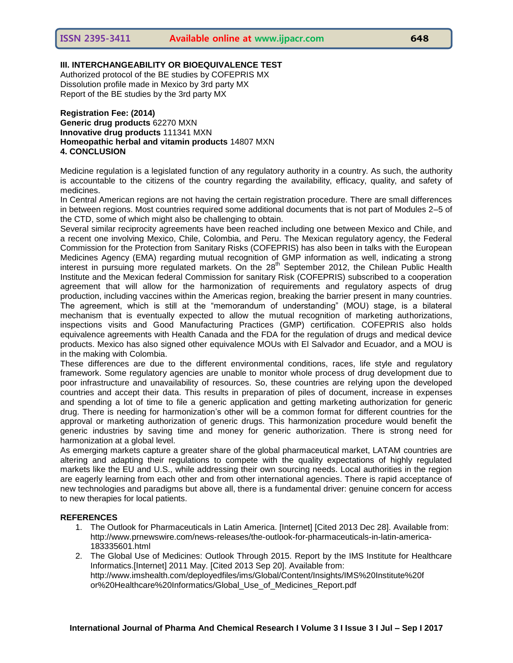# **III. INTERCHANGEABILITY OR BIOEQUIVALENCE TEST**

Authorized protocol of the BE studies by COFEPRIS MX Dissolution profile made in Mexico by 3rd party MX Report of the BE studies by the 3rd party MX

#### **Registration Fee: (2014) Generic drug products** 62270 MXN **Innovative drug products** 111341 MXN **Homeopathic herbal and vitamin products** 14807 MXN **4. CONCLUSION**

Medicine regulation is a legislated function of any regulatory authority in a country. As such, the authority is accountable to the citizens of the country regarding the availability, efficacy, quality, and safety of medicines.

In Central American regions are not having the certain registration procedure. There are small differences in between regions. Most countries required some additional documents that is not part of Modules 2–5 of the CTD, some of which might also be challenging to obtain.

Several similar reciprocity agreements have been reached including one between Mexico and Chile, and a recent one involving Mexico, Chile, Colombia, and Peru. The Mexican regulatory agency, the Federal Commission for the Protection from Sanitary Risks (COFEPRIS) has also been in talks with the European Medicines Agency (EMA) regarding mutual recognition of GMP information as well, indicating a strong interest in pursuing more regulated markets. On the  $28<sup>th</sup>$  September 2012, the Chilean Public Health Institute and the Mexican federal Commission for sanitary Risk (COFEPRIS) subscribed to a cooperation agreement that will allow for the harmonization of requirements and regulatory aspects of drug production, including vaccines within the Americas region, breaking the barrier present in many countries. The agreement, which is still at the "memorandum of understanding" (MOU) stage, is a bilateral mechanism that is eventually expected to allow the mutual recognition of marketing authorizations, inspections visits and Good Manufacturing Practices (GMP) certification. COFEPRIS also holds equivalence agreements with Health Canada and the FDA for the regulation of drugs and medical device products. Mexico has also signed other equivalence MOUs with El Salvador and Ecuador, and a MOU is in the making with Colombia.

These differences are due to the different environmental conditions, races, life style and regulatory framework. Some regulatory agencies are unable to monitor whole process of drug development due to poor infrastructure and unavailability of resources. So, these countries are relying upon the developed countries and accept their data. This results in preparation of piles of document, increase in expenses and spending a lot of time to file a generic application and getting marketing authorization for generic drug. There is needing for harmonization's other will be a common format for different countries for the approval or marketing authorization of generic drugs. This harmonization procedure would benefit the generic industries by saving time and money for generic authorization. There is strong need for harmonization at a global level.

As emerging markets capture a greater share of the global pharmaceutical market, LATAM countries are altering and adapting their regulations to compete with the quality expectations of highly regulated markets like the EU and U.S., while addressing their own sourcing needs. Local authorities in the region are eagerly learning from each other and from other international agencies. There is rapid acceptance of new technologies and paradigms but above all, there is a fundamental driver: genuine concern for access to new therapies for local patients.

#### **REFERENCES**

- 1. The Outlook for Pharmaceuticals in Latin America. [Internet] [Cited 2013 Dec 28]. Available from: [http://www.prnewswire.com/news-releases/the-outlook-for-pharmaceuticals-in-latin-america-](http://www.prnewswire.com/news-releases/the-outlook-for-pharmaceuticals-in-latin-america-183335601.html)[183335601.html](http://www.prnewswire.com/news-releases/the-outlook-for-pharmaceuticals-in-latin-america-183335601.html)
- 2. The Global Use of Medicines: Outlook Through 2015. Report by the IMS Institute for Healthcare Informatics.[Internet] 2011 May. [Cited 2013 Sep 20]. Available from: <http://www.imshealth.com/deployedfiles/ims/Global/Content/Insights/IMS%20Institute%20f> or%20Healthcare%20Informatics/Global\_Use\_of\_Medicines\_Report.pdf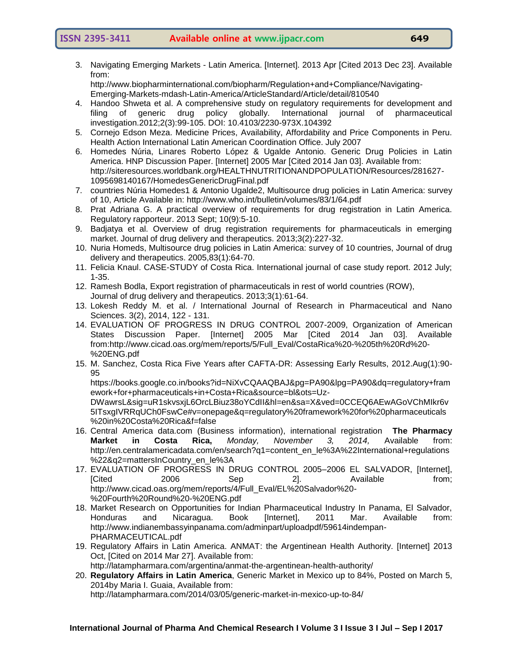3. Navigating Emerging Markets - Latin America. [Internet]. 2013 Apr [Cited 2013 Dec 23]. Available from: http://www.biopharminternational.com/biopharm/Regulation+and+Compliance/Navigating-

Emerging-Markets-mdash-Latin-America/ArticleStandard/Article/detail/810540

- 4. Handoo Shweta et al. A comprehensive study on regulatory requirements for development and filing of generic drug policy globally. International journal of pharmaceutical investigation.2012;2(3):99-105. DOI: 10.4103/2230-973X.104392
- 5. Cornejo Edson Meza. Medicine Prices, Availability, Affordability and Price Components in Peru. Health Action International Latin American Coordination Office. July 2007
- 6. Homedes Núria, Linares Roberto López & Ugalde Antonio. Generic Drug Policies in Latin America. HNP Discussion Paper. [Internet] 2005 Mar [Cited 2014 Jan 03]. Available from: http://siteresources.worldbank.org/HEALTHNUTRITIONANDPOPULATION/Resources/281627- 1095698140167/HomedesGenericDrugFinal.pdf
- 7. countries Núria Homedes1 & Antonio Ugalde2, Multisource drug policies in Latin America: survey of 10, Article Available in:<http://www.who.int/bulletin/volumes/83/1/64.pdf>
- 8. Prat Adriana G. A practical overview of requirements for drug registration in Latin America. Regulatory rapporteur. 2013 Sept; 10(9):5-10.
- 9. Badjatya et al. Overview of drug registration requirements for pharmaceuticals in emerging market. Journal of drug delivery and therapeutics. 2013;3(2):227-32.
- 10. Nuria Homeds, Multisource drug policies in Latin America: survey of 10 countries, Journal of drug delivery and therapeutics. 2005,83(1):64-70.
- 11. Felicia Knaul. CASE-STUDY of Costa Rica. International journal of case study report. 2012 July; 1-35.
- 12. Ramesh Bodla, Export registration of pharmaceuticals in rest of world countries (ROW), Journal of drug delivery and therapeutics. 2013;3(1):61-64.
- 13. Lokesh Reddy M. et al. / International Journal of Research in Pharmaceutical and Nano Sciences. 3(2), 2014, 122 - 131.
- 14. EVALUATION OF PROGRESS IN DRUG CONTROL 2007-2009, Organization of American States Discussion Paper. [Internet] 2005 Mar [Cited 2014 Jan 03]. Available from[:http://www.cicad.oas.org/mem/reports/5/Full\\_Eval/CostaRica%20-%205th%20Rd%20-](http://www.cicad.oas.org/mem/reports/5/Full_Eval/CostaRica%20-%205th%20Rd%20-%20ENG.pdf) [%20ENG.pdf](http://www.cicad.oas.org/mem/reports/5/Full_Eval/CostaRica%20-%205th%20Rd%20-%20ENG.pdf)
- 15. M. Sanchez, Costa Rica Five Years after CAFTA-DR: Assessing Early Results, 2012.Aug(1):90- 95

[https://books.google.co.in/books?id=NiXvCQAAQBAJ&pg=PA90&lpg=PA90&dq=regulatory+fram](https://books.google.co.in/books?id=NiXvCQAAQBAJ&pg=PA90&lpg=PA90&dq=regulatory+framework+for+pharmaceuticals+in+Costa+Rica&source=bl&ots=Uz-DWawrsL&sig=uR1skvsxjL6OrcLBiuz38oYCdII&hl=en&sa=X&ved=0CCEQ6AEwAGoVChMIkr6v5ITsxgIVRRqUCh0FswCe#v=onepage&q=regulatory%20framework%20for%20pharmaceuticals%20in%20Costa%20Rica&f=false) [ework+for+pharmaceuticals+in+Costa+Rica&source=bl&ots=Uz-](https://books.google.co.in/books?id=NiXvCQAAQBAJ&pg=PA90&lpg=PA90&dq=regulatory+framework+for+pharmaceuticals+in+Costa+Rica&source=bl&ots=Uz-DWawrsL&sig=uR1skvsxjL6OrcLBiuz38oYCdII&hl=en&sa=X&ved=0CCEQ6AEwAGoVChMIkr6v5ITsxgIVRRqUCh0FswCe#v=onepage&q=regulatory%20framework%20for%20pharmaceuticals%20in%20Costa%20Rica&f=false)

[DWawrsL&sig=uR1skvsxjL6OrcLBiuz38oYCdII&hl=en&sa=X&ved=0CCEQ6AEwAGoVChMIkr6v](https://books.google.co.in/books?id=NiXvCQAAQBAJ&pg=PA90&lpg=PA90&dq=regulatory+framework+for+pharmaceuticals+in+Costa+Rica&source=bl&ots=Uz-DWawrsL&sig=uR1skvsxjL6OrcLBiuz38oYCdII&hl=en&sa=X&ved=0CCEQ6AEwAGoVChMIkr6v5ITsxgIVRRqUCh0FswCe#v=onepage&q=regulatory%20framework%20for%20pharmaceuticals%20in%20Costa%20Rica&f=false) [5ITsxgIVRRqUCh0FswCe#v=onepage&q=regulatory%20framework%20for%20pharmaceuticals](https://books.google.co.in/books?id=NiXvCQAAQBAJ&pg=PA90&lpg=PA90&dq=regulatory+framework+for+pharmaceuticals+in+Costa+Rica&source=bl&ots=Uz-DWawrsL&sig=uR1skvsxjL6OrcLBiuz38oYCdII&hl=en&sa=X&ved=0CCEQ6AEwAGoVChMIkr6v5ITsxgIVRRqUCh0FswCe#v=onepage&q=regulatory%20framework%20for%20pharmaceuticals%20in%20Costa%20Rica&f=false) [%20in%20Costa%20Rica&f=false](https://books.google.co.in/books?id=NiXvCQAAQBAJ&pg=PA90&lpg=PA90&dq=regulatory+framework+for+pharmaceuticals+in+Costa+Rica&source=bl&ots=Uz-DWawrsL&sig=uR1skvsxjL6OrcLBiuz38oYCdII&hl=en&sa=X&ved=0CCEQ6AEwAGoVChMIkr6v5ITsxgIVRRqUCh0FswCe#v=onepage&q=regulatory%20framework%20for%20pharmaceuticals%20in%20Costa%20Rica&f=false)

- 16. Central America data.com (Business information), international registration **[The Pharmacy](http://www.centralamericadata.com/en/article/home/The_Pharmacy_Market_in_Costa_Rica)  [Market in Costa Rica,](http://www.centralamericadata.com/en/article/home/The_Pharmacy_Market_in_Costa_Rica)** *Monday, November 3, 2014,* Available from: [http://en.centralamericadata.com/en/search?q1=content\\_en\\_le%3A%22International+regulations](http://en.centralamericadata.com/en/search?q1=content_en_le%3A%22International+regulations%22&q2=mattersInCountry_en_le%3A) [%22&q2=mattersInCountry\\_en\\_le%3A](http://en.centralamericadata.com/en/search?q1=content_en_le%3A%22International+regulations%22&q2=mattersInCountry_en_le%3A)
- 17. EVALUATION OF PROGRESS IN DRUG CONTROL 2005–2006 EL SALVADOR, [Internet], [Cited 2006 Sep 2]. Available from; [http://www.cicad.oas.org/mem/reports/4/Full\\_Eval/EL%20Salvador%20-](http://www.cicad.oas.org/mem/reports/4/Full_Eval/EL%20Salvador%20-%20Fourth%20Round%20-%20ENG.pdf) [%20Fourth%20Round%20-%20ENG.pdf](http://www.cicad.oas.org/mem/reports/4/Full_Eval/EL%20Salvador%20-%20Fourth%20Round%20-%20ENG.pdf)
- 18. Market Research on Opportunities for Indian Pharmaceutical Industry In Panama, El Salvador, Honduras and Nicaragua. Book [Internet], 2011 Mar. Available from: [http://www.indianembassyinpanama.com/adminpart/uploadpdf/59614indempan-](http://www.indianembassyinpanama.com/adminpart/uploadpdf/59614indempan-PHARMACEUTICAL.pdf)[PHARMACEUTICAL.pdf](http://www.indianembassyinpanama.com/adminpart/uploadpdf/59614indempan-PHARMACEUTICAL.pdf)
- 19. Regulatory Affairs in Latin America. ANMAT: the Argentinean Health Authority. [Internet] 2013 Oct, [Cited on 2014 Mar 27]. Available from:

<http://latampharmara.com/argentina/anmat-the-argentinean-health-authority/>

20. **[Regulatory](http://latampharmara.com/) Affairs in Latin America**, [Generic](http://latampharmara.com/2014/03/05/generic-market-in-mexico-up-to-84/) Market in Mexico up to 84%, Posted on [March](http://latampharmara.com/2014/03/05/generic-market-in-mexico-up-to-84/) 5, [2014b](http://latampharmara.com/2014/03/05/generic-market-in-mexico-up-to-84/)y Maria I. [Guaia,](http://latampharmara.com/author/inesitag/) Available from:

<http://latampharmara.com/2014/03/05/generic-market-in-mexico-up-to-84/>